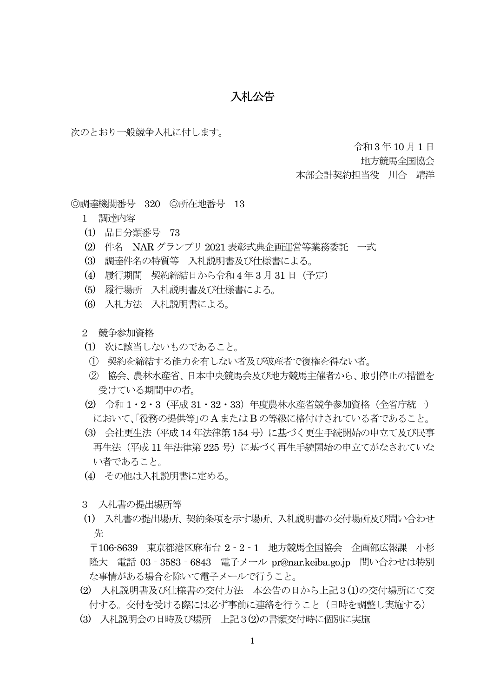## 入札公告

次のとおり一般競争入札に付します。

令和 3 年10 月1 日

地方競馬全国協会

本部会計契約担当役 川合 靖洋

◎調達機関番号 320 ◎所在地番号 13

- 1 調達内容
- (1) 品目分類番号 73
- (2) 件名 NAR グランプリ 2021 表彰式典企画運営等業務委託 一式
- (3) 調達件名の特質等 入札説明書及び仕様書による。
- (4) 履行期間 契約締結日から令和4 年 3 月31 日(予定)
- (5) 履行場所 入札説明書及び仕様書による。
- (6) 入札方法 入札説明書による。
- 2 競争参加資格
- (1) 次に該当しないものであること。
- ① 契約を締結する能力を有しない者及び破産者で復権を得ない者。
- ② 協会、農林水産省、日本中央競馬会及び地方競馬主催者から、取引停止の措置を 受けている期間中の者。
- (2) 令和 1・2・3(平成 31・32・33)年度農林水産省競争参加資格(全省庁統一) において、「役務の提供等」のA またはB の等級に格付けされている者であること。
- (3) 会社更生法(平成14 年法律第154 号)に基づく更生手続開始の申立て及び民事 再生法(平成 11 年法律第 225 号)に基づく再生手続開始の申立てがなされていな い者であること。
- (4) その他は入札説明書に定める。
- 3 入札書の提出場所等
- (1) 入札書の提出場所、契約条項を示す場所、入札説明書の交付場所及び問い合わせ 先

 〒106-8639 東京都港区麻布台 2‐2‐1 地方競馬全国協会 企画部広報課 小杉 隆大 電話 03‐3583‐6843 電子メール pr@nar.keiba.go.jp 問い合わせは特別 な事情がある場合を除いて電子メールで行うこと。

- (2) 入札説明書及び仕様書の交付方法 本公告の日から上記3(1)の交付場所にて交 付する。交付を受ける際には必ず事前に連絡を行うこと(日時を調整し実施する)
- (3) 入札説明会の日時及び場所 上記3(2)の書類交付時に個別に実施